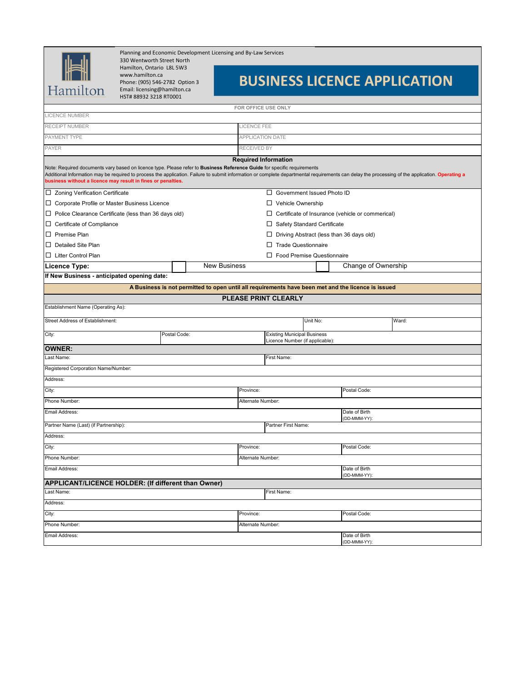Planning and Economic Development Licensing and By-Law Services

Hamilton

330 Wentworth Street North Hamilton, Ontario L8L 5W3 www.hamilton.ca Phone: (905) 546-2782 Option 3 Email: licensing@hamilton.ca HST# 88932 3218 RT0001

## **BUSINESS LICENCE APPLICATION**

| <b>LICENCE NUMBER</b>                                                                                                                                                                                                                                                                                                                                                                      |              |                                                                                                    | FOR OFFICE USE ONLY                             |                                                                       |          |                     |  |  |
|--------------------------------------------------------------------------------------------------------------------------------------------------------------------------------------------------------------------------------------------------------------------------------------------------------------------------------------------------------------------------------------------|--------------|----------------------------------------------------------------------------------------------------|-------------------------------------------------|-----------------------------------------------------------------------|----------|---------------------|--|--|
|                                                                                                                                                                                                                                                                                                                                                                                            |              |                                                                                                    |                                                 |                                                                       |          |                     |  |  |
| RECEIPT NUMBER                                                                                                                                                                                                                                                                                                                                                                             |              |                                                                                                    | LICENCE FEE                                     |                                                                       |          |                     |  |  |
| PAYMENT TYPE                                                                                                                                                                                                                                                                                                                                                                               |              |                                                                                                    | <b>APPLICATION DATE</b>                         |                                                                       |          |                     |  |  |
| <b>PAYER</b>                                                                                                                                                                                                                                                                                                                                                                               |              |                                                                                                    | RECEIVED BY                                     |                                                                       |          |                     |  |  |
| <b>Required Information</b>                                                                                                                                                                                                                                                                                                                                                                |              |                                                                                                    |                                                 |                                                                       |          |                     |  |  |
| Note: Required documents vary based on licence type. Please refer to Business Reference Guide for specific requirements<br>Additional Information may be required to process the application. Failure to submit information or complete departmental requirements can delay the processing of the application. Operating a<br>business without a licence may result in fines or penalties. |              |                                                                                                    |                                                 |                                                                       |          |                     |  |  |
| □ Zoning Verification Certificate                                                                                                                                                                                                                                                                                                                                                          |              |                                                                                                    | □ Government Issued Photo ID                    |                                                                       |          |                     |  |  |
| □ Corporate Profile or Master Business Licence                                                                                                                                                                                                                                                                                                                                             |              |                                                                                                    | $\Box$ Vehicle Ownership                        |                                                                       |          |                     |  |  |
| $\Box$ Police Clearance Certificate (less than 36 days old)                                                                                                                                                                                                                                                                                                                                |              |                                                                                                    |                                                 | $\Box$ Certificate of Insurance (vehicle or commerical)               |          |                     |  |  |
| $\Box$ Certificate of Compliance                                                                                                                                                                                                                                                                                                                                                           |              |                                                                                                    | □ Safety Standard Certificate                   |                                                                       |          |                     |  |  |
| $\Box$ Premise Plan                                                                                                                                                                                                                                                                                                                                                                        |              |                                                                                                    | $\Box$ Driving Abstract (less than 36 days old) |                                                                       |          |                     |  |  |
| D Detailed Site Plan                                                                                                                                                                                                                                                                                                                                                                       |              |                                                                                                    |                                                 | $\Box$ Trade Questionnaire                                            |          |                     |  |  |
| □ Litter Control Plan                                                                                                                                                                                                                                                                                                                                                                      |              | $\Box$ Food Premise Questionnaire                                                                  |                                                 |                                                                       |          |                     |  |  |
| <b>Licence Type:</b>                                                                                                                                                                                                                                                                                                                                                                       |              | <b>New Business</b>                                                                                |                                                 |                                                                       |          | Change of Ownership |  |  |
| If New Business - anticipated opening date:                                                                                                                                                                                                                                                                                                                                                |              |                                                                                                    |                                                 |                                                                       |          |                     |  |  |
|                                                                                                                                                                                                                                                                                                                                                                                            |              | A Business is not permitted to open until all requirements have been met and the licence is issued |                                                 |                                                                       |          |                     |  |  |
|                                                                                                                                                                                                                                                                                                                                                                                            |              |                                                                                                    |                                                 | <b>PLEASE PRINT CLEARLY</b>                                           |          |                     |  |  |
| Establishment Name (Operating As):                                                                                                                                                                                                                                                                                                                                                         |              |                                                                                                    |                                                 |                                                                       |          |                     |  |  |
| Street Address of Establishment:                                                                                                                                                                                                                                                                                                                                                           |              |                                                                                                    |                                                 |                                                                       | Unit No: | Ward:               |  |  |
| City:                                                                                                                                                                                                                                                                                                                                                                                      | Postal Code: |                                                                                                    |                                                 | <b>Existing Municipal Business</b><br>Licence Number (if applicable): |          |                     |  |  |
| <b>OWNER:</b>                                                                                                                                                                                                                                                                                                                                                                              |              |                                                                                                    |                                                 |                                                                       |          |                     |  |  |
| Last Name:                                                                                                                                                                                                                                                                                                                                                                                 |              |                                                                                                    |                                                 | First Name:                                                           |          |                     |  |  |
| Registered Corporation Name/Number:                                                                                                                                                                                                                                                                                                                                                        |              |                                                                                                    |                                                 |                                                                       |          |                     |  |  |
| Address:                                                                                                                                                                                                                                                                                                                                                                                   |              |                                                                                                    |                                                 |                                                                       |          |                     |  |  |
| City:                                                                                                                                                                                                                                                                                                                                                                                      |              |                                                                                                    | Province:                                       |                                                                       |          | Postal Code:        |  |  |
| Phone Number:                                                                                                                                                                                                                                                                                                                                                                              |              | Alternate Number:                                                                                  |                                                 |                                                                       |          |                     |  |  |
| Email Address:                                                                                                                                                                                                                                                                                                                                                                             |              | Date of Birth                                                                                      |                                                 |                                                                       |          |                     |  |  |
| Partner Name (Last) (if Partnership):                                                                                                                                                                                                                                                                                                                                                      |              |                                                                                                    |                                                 | Partner First Name:                                                   |          | (DD-MMM-YY):        |  |  |
| Address:                                                                                                                                                                                                                                                                                                                                                                                   |              |                                                                                                    |                                                 |                                                                       |          |                     |  |  |
| City:                                                                                                                                                                                                                                                                                                                                                                                      |              |                                                                                                    | Province:                                       |                                                                       |          | Postal Code:        |  |  |
| Phone Number:                                                                                                                                                                                                                                                                                                                                                                              |              |                                                                                                    | Alternate Number:                               |                                                                       |          |                     |  |  |
| Email Address:                                                                                                                                                                                                                                                                                                                                                                             |              |                                                                                                    |                                                 | Date of Birth                                                         |          |                     |  |  |
| APPLICANT/LICENCE HOLDER: (If different than Owner)                                                                                                                                                                                                                                                                                                                                        |              |                                                                                                    |                                                 | (DD-MMM-YY):                                                          |          |                     |  |  |
| Last Name:                                                                                                                                                                                                                                                                                                                                                                                 | First Name:  |                                                                                                    |                                                 |                                                                       |          |                     |  |  |
| Address:                                                                                                                                                                                                                                                                                                                                                                                   |              |                                                                                                    |                                                 |                                                                       |          |                     |  |  |
| City:                                                                                                                                                                                                                                                                                                                                                                                      |              |                                                                                                    | Province:                                       | Postal Code:                                                          |          |                     |  |  |
| Phone Number:                                                                                                                                                                                                                                                                                                                                                                              |              |                                                                                                    |                                                 | Alternate Number:                                                     |          |                     |  |  |
| Email Address:                                                                                                                                                                                                                                                                                                                                                                             |              |                                                                                                    |                                                 |                                                                       |          | Date of Birth       |  |  |
|                                                                                                                                                                                                                                                                                                                                                                                            |              |                                                                                                    |                                                 |                                                                       |          | (DD-MMM-YY):        |  |  |